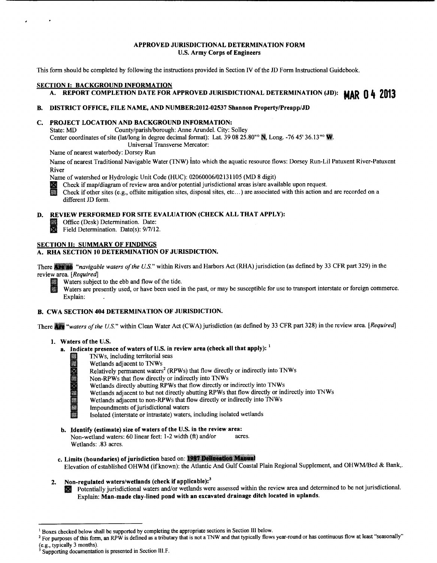#### APPROVED JURISDICTIONAL DETERMINATION FORM U.S. Army Corps of Engineers

This form should be completed by following the instructions provided in Section IV of the JD Form Instructional Guidebook.

#### SECTION 1: BACKGROUND INFORMATION

# A. REPORT COMPLETION DATE FOR APPROVED JURISDICTIONAL DETERMINATION (JD): **MAR 0 4 2013**

#### B. DISTRICT OFFICE, FILE NAME, AND NUMBER:2012-02537 Shannon Property/Preapp/JD

# C. PROJECT LOCATION AND BACKGROUND INFORMATION:

State: MD County/parish/borough: Anne Arundel. City: Solley Center coordinates of site (lat/long in degree decimal format): Lat. 39 08 25.80" N. Long. -76 45' 36.13" W. Universal Transverse Mercator:

Name of nearest waterbody: Dorsey Run

Name of nearest Traditional Navigable Water (TNW) into which the aquatic resource flows: Dorsey Run-Lil Patuxent River-Patuxent River

Name of watershed or Hydrologic Unit Code (HUC): 02060006/02131105 (MD 8 digit)<br>Check if map/diagram of review area and/or potential jurisdictional areas is/are available upon request.

Check if map/diagram of review area and/or potential jurisdictional areas is/are available upon request.<br>Check if other sites (e.g., offsite mitigation sites, disposal sites, etc...) are associated with this action and are different JD form.

#### D. REVIEW PERFORMED FOR SITE EVALUATION (CHECK ALL THAT APPLY):

Office (Desk) Determination. Date:<br>
Field Determination. Date(s): 9/7/12.

# SECTION II: SUMMARY OF FINDINGS

## A. RHA SECTION 10 DETERMINATION OF JURISDICTION.

There **Are an** "navigable waters of the U.S." within Rivers and Harbors Act (RHA) jurisdiction (as defined by 33 CFR part 329) in the review area. *[Required]* 



Waters subject to the ebb and flow of the tide.<br>Waters are presently used, or have been used in the past, or may be susceptible for use to transport interstate or foreign commerce. Explain:

#### B. CWA SECTION 404 DETERMINATION OF JURISDICTION.

There. *"waters of the U.S."* within Clean Water Act (CWA) jurisdiction (as defined by 33 CFR part 328) in the review area. *[Required]* 

#### 1. Waters of the U.S.

Ä 

- a. Indicate presence of waters of U.S. in review area (check all that apply):  $<sup>1</sup>$ </sup>
	- TNWs, including territorial seas
		- Wetlands adjacent to TNWs
		- Relatively permanent waters<sup>2</sup> (RPWs) that flow directly or indirectly into TNWs
		- Non-RPWs that flow directly or indirectly into TNWs
		- Wetlands directly abutting RPWs that flow directly or indirectly into TNWs
		- Wetlands adjacent to but not directly abutting RPWs that flow directly or indirectly into TNWs
		- Wetlands adjacent to non-RPWs that flow directly or indirectly into TNWs
		- Impoundments of jurisdictional waters

Isolated (interstate or intrastate) waters, including isolated wetlands

- b. Identify (estimate) size of waters of the U.S. in the review area: Non-wetland waters: 60 linear feet: 1-2 width (ft) and/or acres. Wetlands: .83 acres.
- c. Limits (boundaries) of jurisdiction based on: 1987 Delinestion Manual<br>Elevation of established OHWM (if known): the Atlantic And Gulf Coastal Plain Regional Supplement, and OHWM/Bed & Bank,.

# 2. Non-regulated waters/wetlands (check if applicable): $3$

Potentially jurisdictional waters and/or wetlands were assessed within the review area and determined to be not jurisdictional. Explain: Man-made clay-lined pond with an excavated drainage ditch located in uplands.

<sup>&</sup>lt;sup>1</sup> Boxes checked below shall be supported by completing the appropriate sections in Section III below.<br><sup>2</sup> For purposes of this form, an RPW is defined as a tributary that is not a TNW and that typically flows year-round

<sup>(</sup>e.g., typically 3 months).  $3$  Supporting documentation is presented in Section III. F.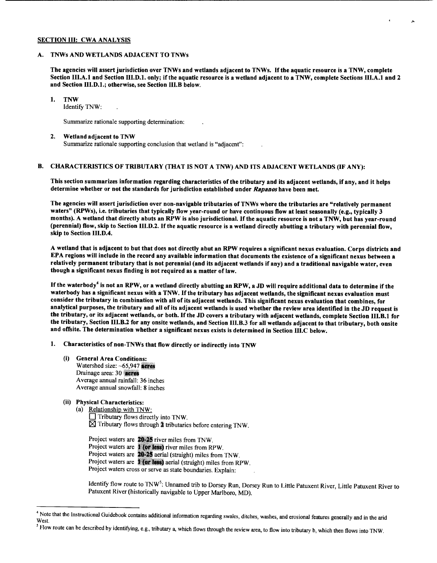#### SECTION III: CWA ANALYSIS

#### A. TNWs AND WETLANDS ADJACENT TO TNWs

The agencies will assert jurisdiction over TNWs and wetlands adjacent to TNWs. If the aquatic resource is a TNW, complete Section III.A.l and Section III.D.l. only; if the aquatic resource is a wetland adjacent to a TNW, complete Sections III.A.l and 2 and Section III.D.l.; otherwise, see Section III.B below.

 $\hat{~}$ 

#### 1. TNW

Identify TNW:

Summarize rationale supporting determination:

#### 2. Wetland adjacent to TNW

Summarize rationale supporting conclusion that wetland is "adjacent":

# B. CHARACTERISTICS OF TRIBUTARY (THAT IS NOT A TNW) AND ITS ADJACENT WETLANDS (IF ANY):

This section summarizes information regarding characteristics of the tributary and its adjacent wetlands, if any, and it helps determine whether or not the standards for jurisdiction established under *Rapanos* have been met.

The agencies will assert jurisdiction over non-navigable tributaries of TNWs where the tributaries are "relatively permanent waters" (RPWs), i.e. tributaries that typically flow year-round or have continuous flow at least seasonally (e.g., typically 3 months). A wetland that directly abuts an RPW is also jurisdictional. If the aquatic resource is not a TNW, but has year-round (perennial) flow, skip to Section III.D.2. If the aquatic resource is a wetland directly abutting a tributary with perennial flow, skip to Section III.D.4.

A wetland that is adjacent to but that does not directly abut an RPW requires a significant nexus evaluation. Corps districts and EPA regions will include in the record any available information that documents the existence of a significant nexus between a relatively permanent tributary that is not perennial (and its adjacent wetlands if any) and a traditional navigable water, even though a significant nexus finding is not required as a matter of law.

If the waterbody<sup>4</sup> is not an RPW, or a wetland directly abutting an RPW, a JD will require additional data to determine if the waterbody has a significant nexus with a TNW. If the tributary has adjacent wetlands, the significant nexus evaluation must consider the tributary in combination with all of its adjacent wetlands. This significant nexus evaluation that combines, for analytical purposes, the tributary and all of its adjacent wetlands is used whether the review area identified in the JD request is the tributary, or its adjacent wetlands, or both. If the JD covers a tributary with adjacent wetlands, complete Section III.B.l for the tributary, Section III.B.2 for any onsite wetlands, and Section III.B.3 for all wetlands adjacent to that tributary, both onsite and offsite. The determination whether a significant nexus exists is determined in Section III.C below.

- 1. Characteristics of non-TNWs that flow directly or indirectly into TNW
	- (i) General Area Conditions: Watershed size:  $~-65,947$  acres Drainage area: 30 **acres** Average annual rainfall: 36 inches Average annual snowfall: 8 inches

### (ii) Physical Characteristics:

(a) Relationship with TNW:  $\Box$  Tributary flows directly into TNW.  $\times$  Tributary flows through  $\ddagger$  tributaries before entering TNW.

Project waters are 20-25 river miles from TNW. Project waters are 1 (or less) river miles from RPW. Project waters are 20-25 aerial (straight) miles from TNW. Project waters are **1 (or less)** aerial (straight) miles from RPW. Project waters cross or serve as state boundaries. Explain:

Identify flow route to TNW<sup>5</sup>: Unnamed trib to Dorsey Run, Dorsey Run to Little Patuxent River, Little Patuxent River to Patuxent River (historically navigable to Upper Marlboro, MD).

<sup>&</sup>lt;sup>4</sup> Note that the Instructional Guidebook contains additional information regarding swales, ditches, washes, and erosional features generally and in the arid West.

<sup>&</sup>lt;sup>5</sup> Flow route can be described by identifying, e.g., tributary a, which flows through the review area, to flow into tributary b, which then flows into TNW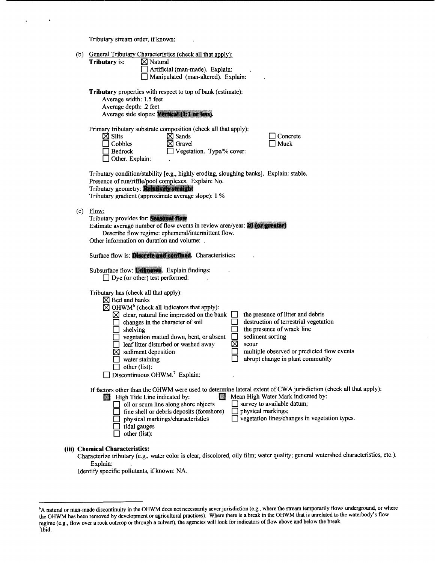Tributary stream order, if known:

 $\ddot{\phantom{a}}$ 

 $\ddot{\phantom{0}}$ 

 $\bullet$ 

| (b) | General Tributary Characteristics (check all that apply):<br>$\boxtimes$ Natural<br><b>Tributary</b> is:<br>Artificial (man-made). Explain:<br>Manipulated (man-altered). Explain:                                                                                                                                                                                                                                                                                                                                                                                                                                                                                               |
|-----|----------------------------------------------------------------------------------------------------------------------------------------------------------------------------------------------------------------------------------------------------------------------------------------------------------------------------------------------------------------------------------------------------------------------------------------------------------------------------------------------------------------------------------------------------------------------------------------------------------------------------------------------------------------------------------|
|     | <b>Tributary</b> properties with respect to top of bank (estimate):<br>Average width: 1.5 feet<br>Average depth: .2 feet<br>Average side slopes: Vertical (1:1 or less).                                                                                                                                                                                                                                                                                                                                                                                                                                                                                                         |
|     | Primary tributary substrate composition (check all that apply):<br>$\boxtimes$ Silts<br>$\boxtimes$ Sands<br>Concrete<br>$\boxtimes$ Gravel<br>Cobbles<br>Muck<br>Vegetation. Type/% cover:<br>Bedrock<br>Other. Explain:                                                                                                                                                                                                                                                                                                                                                                                                                                                        |
|     | Tributary condition/stability [e.g., highly eroding, sloughing banks]. Explain: stable.<br>Presence of run/riffle/pool complexes. Explain: No.<br>Tributary geometry: Relatively straight<br>Tributary gradient (approximate average slope): 1 %                                                                                                                                                                                                                                                                                                                                                                                                                                 |
| (c) | Flow:<br>Tributary provides for: Seasonal flow<br>Estimate average number of flow events in review area/year: 20 (or greater)<br>Describe flow regime: ephemeral/intermittent flow.<br>Other information on duration and volume: .                                                                                                                                                                                                                                                                                                                                                                                                                                               |
|     | Surface flow is: Discrete and confined. Characteristics:                                                                                                                                                                                                                                                                                                                                                                                                                                                                                                                                                                                                                         |
|     | Subsurface flow: Unknown. Explain findings:<br>$\Box$ Dye (or other) test performed:                                                                                                                                                                                                                                                                                                                                                                                                                                                                                                                                                                                             |
|     | Tributary has (check all that apply):<br>$\boxtimes$ Bed and banks<br>$\boxtimes$ OHWM <sup>6</sup> (check all indicators that apply):<br>the presence of litter and debris<br>$\boxtimes$ clear, natural line impressed on the bank $\Box$<br>destruction of terrestrial vegetation<br>changes in the character of soil<br>the presence of wrack line<br>shelving<br>sediment sorting<br>vegetation matted down, bent, or absent<br>⊠<br>leaf litter disturbed or washed away<br>scour<br>multiple observed or predicted flow events<br>sediment deposition<br>abrupt change in plant community<br>water staining<br>other (list):<br>Discontinuous OHWM. <sup>7</sup> Explain: |
|     | If factors other than the OHWM were used to determine lateral extent of CWA jurisdiction (check all that apply):<br>Mean High Water Mark indicated by:<br>High Tide Line indicated by:<br>圞<br>$\Box$ survey to available datum;<br>oil or scum line along shore objects<br>physical markings;<br>fine shell or debris deposits (foreshore)<br>vegetation lines/changes in vegetation types.<br>physical markings/characteristics<br>tidal gauges<br>other (list):                                                                                                                                                                                                               |
|     | (iii) Chemical Characteristics:<br>Characterize tributary (e.g., water color is clear, discolored, oily film; water quality; general watershed characteristics, etc.).                                                                                                                                                                                                                                                                                                                                                                                                                                                                                                           |

Explain:

Identify specific pollutants, if known: NA.

<sup>6</sup>A natural or man-made discontinuity in the OHWM does not necessarily sever jurisdiction (e.g., where the stream temporarily flows underground, or where the OHWM has been removed by development or agricultural practices). Where there is a break in the OHWM that is unrelated to the waterbody's flow regime (e.g., flow over a rock outcrop or through a culvert), the agencies will look for indicators of flow above and below the break.<br><sup>7</sup>Ibid.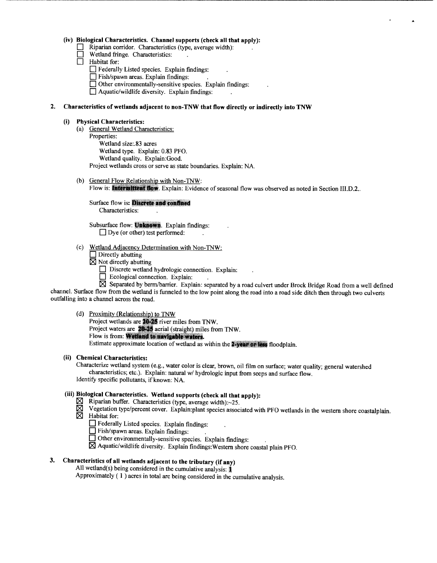### **(iv) Biological Characteristics. Channel supports (check all that apply):**

- $\Box$  Riparian corridor. Characteristics (type, average width):
- **D** Wetland fringe. Characteristics:
- **D** Habitat for:
	- **D** Federally Listed species. Explain findings:
	- **0** Fish/spawn areas. Explain findings:
	- **0** Other environmentally-sensitive species. Explain findings:
	- $\Box$  Aquatic/wildlife diversity. Explain findings:

#### **2. Characteristics of wetlands adjacent to non-TNW that flow directly or indirectly into TNW**

#### **(i) Physical Characteristics:**

- (a) General Wetland Characteristics:
	- Properties: Wetland size:.83 acres Wetland type. Explain: 0.83 PFO. Wetland quality. Explain:Good. Project wetlands cross or serve as state boundaries. Explain: NA.
- (b) General Flow Relationship with Non-TNW:
	- Flow is: **Intermittent flow**. Explain: Evidence of seasonal flow was observed as noted in Section III.D.2..

Surface flow is: Discrete and confined Characteristics:

Subsurface flow: Unknown. Explain findings:  $\Box$  Dye (or other) test performed:

- (c) Wetland Adjacency Determination with Non-TNW:
	- **Directly abutting**
	- $\times$  Not directly abutting
		- **Discrete wetland hydrologic connection.** Explain:
		- **D** Ecological connection. Explain:

~ Separated by berm/barrier. Explain: separated by a road culvert under Brock Bridge Road from a well defined channel. Surface flow from the wetland is funneled to the low point along the road into a road side ditch then through two culverts outfalling into a channel across the road.

#### (d) Proximity (Relationship) to TNW

Project wetlands are 20-25 river miles from TNW. Project waters are 20-25 aerial (straight) miles from TNW. Flow is from: Wetland to navigable waters. Estimate approximate location of wetland as within the 2-year or less floodplain.

# **(ii) Chemical Characteristics:**

Characterize wetland system (e.g., water color is clear, brown, oil film on surface; water quality; general watershed characteristics; etc.). Explain: natural w/ hydrologic input from seeps and surface flow. Identity specific pollutants, if known: NA.

# **(iii) Biological Characteristics. Wetland supports (check all that apply):**

- $\boxtimes$  Riparian buffer. Characteristics (type, average width): $\sim$ 25.
- $\overline{\boxtimes}$  Vegetation type/percent cover. Explain:plant species associated with PFO wetlands in the western shore coastalplain.
- $\boxtimes$  Habitat for:
	- 0 Federally Listed species. Explain findings:
	- **0** Fish/spawn areas. Explain findings: .
	- **0** Other environmentally-sensitive species. Explain findings:
	- $\boxtimes$  Aquatic/wildlife diversity. Explain findings: Western shore coastal plain PFO.

# **3. Characteristics of all wetlands adjacent to the tributary (if any)**

All wetland(s) being considered in the cumulative analysis: **1** 

Approximately  $(1)$  acres in total are being considered in the cumulative analysis.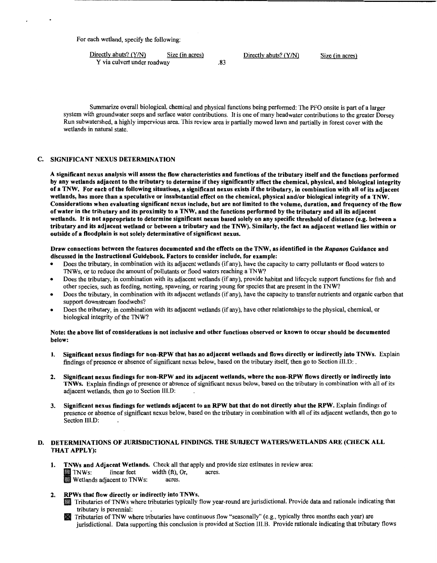For each wetland, specify the following:

 $\frac{\text{Directly abuse? (Y/N)}}{\text{Y via culvert under roadway}}$  Size (in acres)<br>283 Y via culvert under roadway

Summarize overall biological, chemical and physical functions being performed: The PFO onsite is part of a larger system with groundwater seeps and surface water contributions. It is one of many headwater contributions to the greater Dorsey Run subwatershed, a highly impervious area. This review area is partially mowed lawn and partially in forest cover with the wetlands in natural state.

### C. SIGNIFICANT NEXUS DETERMINATION

A significant nexus analysis will assess the flow characteristics and functions of the tributary itself and the functions performed by any wetlands adjacent to the tributary to determine if they significantly affect the chemical, physical, and biological integrity of a TNW. For each of the following situations, a significant nexus exists if the tributary, in combination with all of its adjacent wetlands, has more than a speculative or insubstantial effect on the chemical, physical and/or biological integrity of a TNW. Considerations when evaluating significant nexus include, but are not limited to the volume, duration, and frequency ofthe flow of water in the tributary and its proximity to a TNW, and the functions performed by the tributary and all its adjacent wetlands. It is not appropriate to determine significant nexus based solely on any specific threshold of distance (e.g. between a tributary and its adjacent wetland or between a tributary and the TNW). Similarly, the fact an adjacent wetland lies within or outside of a floodplain is not solely determinative of significant nexus.

#### Draw connections between the features documented and the effects on the TNW, as identified in the *Rapanos* Guidance and discussed in the Instructional Guidebook. Factors to consider include, for example:

- Does the tributary, in combination with its adjacent wetlands (if any), have the capacity to carry pollutants or flood waters to TNWs, or to reduce the amount of pollutants or flood waters reaching a TNW?
- Does the tributary, in combination with its adjacent wetlands (if any), provide habitat and lifecycle support functions for fish and other species, such as feeding, nesting, spawning, or rearing young for species that are present in the TNW?
- Does the tributary, in combination with its adjacent wetlands (if any), have the capacity to transfer nutrients and organic carbon that support downstream foodwebs?
- Does the tributary, in combination with its adjacent wetlands (if any), have other relationships to the physical, chemical, or biological integrity of the TNW?

#### Note: the above list of considerations is not inclusive and other functions observed or known to occur should be documented below:

- 1. Significant nexus findings for non-RPW that has no adjacent wetlands and flows directly or indirectly into TNWs. Explain findings of presence or absence of significant nexus below, based on the tributary itself, then go to Section III.D: .
- 2. Significant nexus findings for non-RPW and its adjacent wetlands, where the non-RPW flows directly or indirectly into TNWs. Explain findings of presence or absence of significant nexus below, based on the tributary in combination with all of its adjacent wetlands, then go to Section III.D:
- 3. Significant nexus findings for wetlands adjacent to an RPW but that do not directly abut the RPW. Explain findings of presence or absence of significant nexus below, based on the tributary in combination with all of its adjacent wetlands, then go to Section III.D:

### D. DETERMINATIONS OF JURISDICTIONAL FINDINGS. THE SUBJECT WATERS/WETLANDS ARE (CHECK ALL THAT APPLY):

1. TNWs and Adjacent Wetlands. Check all that apply and provide size estimates in review area: I TNWs: linear feet width (ft), Or, acres. Wetlands adjacent to TNWs: acres.

#### 2. RPWs that flow directly or indirectly into TNWs.

- Tributaries of TNW s where tributaries typically flow year-round are jurisdictional. Provide data and rationale indicating that tributary is perennial:
- Tributaries ofTNW where tributaries have continuous flow "seasonally" (e.g., typically three months each year) are jurisdictional. Data supporting this conclusion is provided at Section III.B. Provide rationale indicating that tributary flows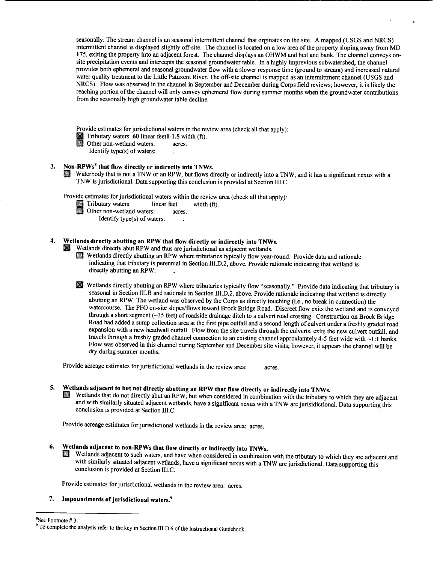seasonally: The stream channel is an seasonal intermittent channel that orginates on the site. A mapped (USGS and NRCS) intermittent channel is displayed slightly off-site. The channel is located on a low area of the property sloping away from MD 175, exiting the property into an adjacent forest. The channel displays an OHWM and bed and bank. The channel conveys onsite precipitation events and intercepts the seasonal groundwater table. In a highly imprevious subwatershed, the channel provides both ephemeral and seasonal groundwater flow with a slower response time (ground to stream) and increased natural water quality treatment to the Little Patuxent River. The off-site channel is mapped as an intermittment channel (USGS and NRCS). Flow was observed in the channel in September and December during Corps field reviews; however, it is likely the reaching portion of the channel will only convey ephemeral flow during summer months when the groundwater contributions from the seasonally high groundwater table decline.

Provide estimates for jurisdictional waters in the review area (check all that apply):

I Tributary waters: **60** linear feet1-1.5 width (ft).<br>
Other non-wetland waters: acres.

Other non-wetland waters:

Identify type(s) of waters:

# **3. Non-RPWs<sup>8</sup>that flow directly or indirectly into TNWs.**

III Waterbody that is not a TNW or an RPW, but flows directly or indirectly into a TNW, and it has a significant nexus with a TNW is jurisdictional. Data supporting this conclusion is provided at Section III. C.

Provide estimates for jurisdictional waters within the review area (check all that apply):<br>
Tributary waters: linear feet width (ft).

- I Tributary waters: linear feet width (ft).<br>
Other non-wetland waters: acres.<br>
Martify tract(s) of surtance.
	-

Identify type(s) of waters:

# **4. Wetlands directly abutting an RPW that flow directly or indirectly into TNWs.**

• Wetlands directly abut RPW and thus are jurisdictional as adjacent wetlands.

Wetlands directly abutting an RPW where tributaries typically flow year-round. Provide data and rationale indicating that tributary is perennial in Section III.D.2, above. Provide rationale indicating that wetland is directly abutting an RPW:

• Wetlands directly abutting an RPW where tributaries typically flow "seasonally." Provide data indicating that tributary is seasonal in Section III.B and rationale in Section III.D.2, above. Provide rationale indicating that wetland is directly abutting an RPW: The wetland was observed by the Corps as directly touching (i.e., no break in connection) the watercourse. The PFO on-site slopes/flows toward Brock Bridge Road. Discreet flow exits the wetland and is conveyed through a short segment (~35 feet) of roadside drainage ditch to a culvert road crossing. Construction on Brock Bridge Road had added a sump collection area at the first pipe outfall and a second length of culvert under a freshly graded road expansion with a new headwall outfall. Flow from the site travels through the culverts, exits the new culvert outfall, and travels through a freshly graded channel connection to an existing channel approxiamtely 4-5 feet wide with ~ **1:1** banks. Flow was observed in this channel during September and December site visits; however, it appears the channel will be dry during summer months.

Provide acreage estimates for jurisdictional wetlands in the review area: acres.

# **5. Wetlands adjacent to but not directly abutting an RPW that flow directly or indirectly into TNWs.**

II Wetlands that do not directly abut an RPW, but when considered in combination with the tributary to which they are adjacent and with similarly situated adjacent wetlands, have a significant nexus with a TNW are jurisidictional. Data supporting this conclusion is provided at Section III.C.

Provide acreage estimates for jurisdictional wetlands in the review area: acres.

# **6. Wetlands adjacent to non-RPWs that flow directly or indirectly into TNWs.**

II Wetlands adjacent to such waters, and have when considered in combination with the tributary to which they are adjacent and with similarly situated adjacent wetlands, have a significant nexus with a TNW are jurisdictional. Data supporting this conclusion is provided at Section III.C.

Provide estimates for jurisdictional wetlands in the review area: acres.

#### **7. Impoundments of jurisdictional waters.9**

 ${}^{8}$ See Footnote # 3

<sup>&</sup>lt;sup>9</sup> To complete the analysis refer to the key in Section III.D.6 of the Instructional Guidebook.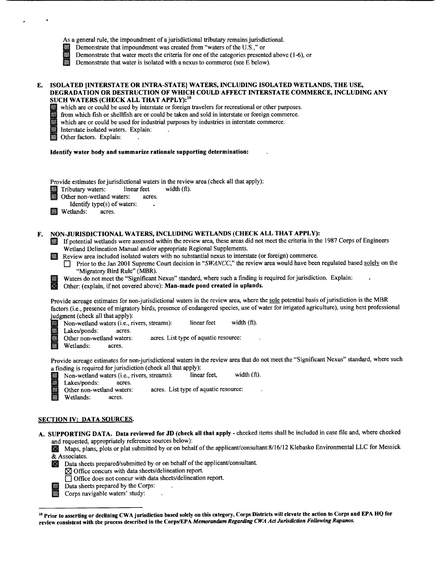|    | As a general rule, the impoundment of a jurisdictional tributary remains jurisdictional.<br>Demonstrate that impoundment was created from "waters of the U.S.," or<br>K<br>Demonstrate that water meets the criteria for one of the categories presented above (1-6), or<br>Demonstrate that water is isolated with a nexus to commerce (see E below).                                                                                                                                                                                                                                                                                                                                                                                                                          |
|----|---------------------------------------------------------------------------------------------------------------------------------------------------------------------------------------------------------------------------------------------------------------------------------------------------------------------------------------------------------------------------------------------------------------------------------------------------------------------------------------------------------------------------------------------------------------------------------------------------------------------------------------------------------------------------------------------------------------------------------------------------------------------------------|
| E. | ISOLATED [INTERSTATE OR INTRA-STATE] WATERS, INCLUDING ISOLATED WETLANDS, THE USE,<br>DEGRADATION OR DESTRUCTION OF WHICH COULD AFFECT INTERSTATE COMMERCE, INCLUDING ANY<br>SUCH WATERS (CHECK ALL THAT APPLY): <sup>10</sup><br>which are or could be used by interstate or foreign travelers for recreational or other purposes.<br>驧<br>from which fish or shellfish are or could be taken and sold in interstate or foreign commerce.<br>which are or could be used for industrial purposes by industries in interstate commerce.<br>Interstate isolated waters. Explain:<br>Other factors. Explain:                                                                                                                                                                       |
|    | Identify water body and summarize rationale supporting determination:                                                                                                                                                                                                                                                                                                                                                                                                                                                                                                                                                                                                                                                                                                           |
|    | Provide estimates for jurisdictional waters in the review area (check all that apply):<br>width $(ft)$ .<br>Tributary waters:<br>linear feet<br>Other non-wetland waters:<br>acres.<br>Identify type(s) of waters:<br>Wetlands:<br>acres.                                                                                                                                                                                                                                                                                                                                                                                                                                                                                                                                       |
| F. | NON-JURISDICTIONAL WATERS, INCLUDING WETLANDS (CHECK ALL THAT APPLY):<br>If potential wetlands were assessed within the review area, these areas did not meet the criteria in the 1987 Corps of Engineers<br>Wetland Delineation Manual and/or appropriate Regional Supplements.<br>Review area included isolated waters with no substantial nexus to interstate (or foreign) commerce.<br>Prior to the Jan 2001 Supreme Court decision in "SWANCC," the review area would have been regulated based solely on the<br>$\mathsf{L}$<br>"Migratory Bird Rule" (MBR).<br>Waters do not meet the "Significant Nexus" standard, where such a finding is required for jurisdiction. Explain:<br><b>R</b><br>Other: (explain, if not covered above): Man-made pond created in uplands. |
|    | Provide acreage estimates for non-jurisdictional waters in the review area, where the sole potential basis of jurisdiction is the MBR<br>factors (i.e., presence of migratory birds, presence of endangered species, use of water for irrigated agriculture), using best professional<br>judgment (check all that apply):<br>width (ft).<br>linear feet<br>Non-wetland waters (i.e., rivers, streams):<br>鼷<br>蠟<br>Lakes/ponds:<br>acres.<br>acres. List type of aquatic resource:<br>Other non-wetland waters:<br>Wetlands:<br>acres.                                                                                                                                                                                                                                         |
|    | Provide acreage estimates for non-jurisdictional waters in the review area that do not meet the "Significant Nexus" standard, where such<br>a finding is required for jurisdiction (check all that apply):<br>width $(ft)$ .<br>linear feet.<br>Non-wetland waters (i.e., rivers, streams):<br>讔<br>Lakes/ponds:<br>acres.<br>acres. List type of aquatic resource:<br>N<br>Other non-wetland waters:<br>職<br>Wetlands:<br>acres.                                                                                                                                                                                                                                                                                                                                               |

# SECTION IV: DATA SOURCES.

 $\bullet$ 

- A. SUPPORTING DATA. Data reviewed for JD (check all that apply- checked items shall be included in case file and, where checked and requested, appropriately reference sources below):
	- Maps, plans, plots or plat submitted by or on behalf of the applicant/consultant:8/16/12 Klebasko Environmental LLC for Messick & Associates.
	- Data sheets prepared/submitted by or on behalf of the applicant/consultant.

 $\ddot{\phantom{a}}$  $\ddot{\phantom{a}}$ 

- $\times$  Office concurs with data sheets/delineation report.
- $\Box$  Office does not concur with data sheets/delineation report.
- Data sheets prepared by the Corps:<br>Corps navigable waters' study:
	- Corps navigable waters' study:

<sup>&</sup>lt;sup>10</sup> Prior to asserting or declining CWA jurisdiction based solely on this category, Corps Districts will elevate the action to Corps and EPA HQ for review consistent with the process described in the Corps/EPA *Memorandum Regarding CWA Act Jurisdiction Following Rapanos.*